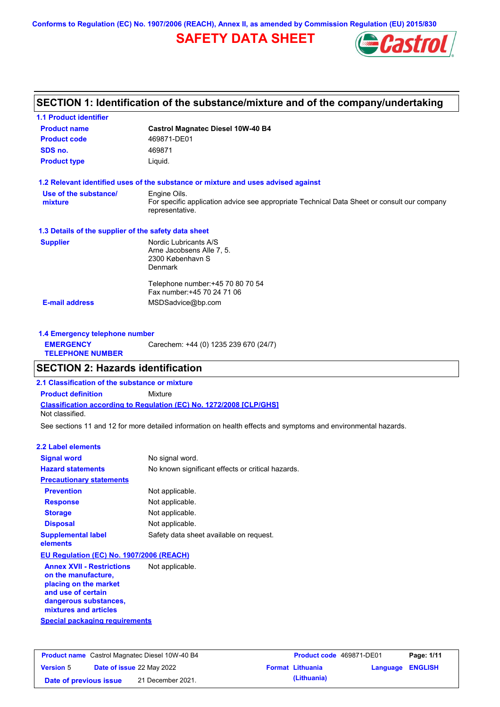**Conforms to Regulation (EC) No. 1907/2006 (REACH), Annex II, as amended by Commission Regulation (EU) 2015/830**

# **SAFETY DATA SHEET**



# **SECTION 1: Identification of the substance/mixture and of the company/undertaking**

| <b>1.1 Product identifier</b>                        |                                                                                                                                |
|------------------------------------------------------|--------------------------------------------------------------------------------------------------------------------------------|
| <b>Product name</b>                                  | <b>Castrol Magnatec Diesel 10W-40 B4</b>                                                                                       |
| <b>Product code</b>                                  | 469871-DE01                                                                                                                    |
| SDS no.                                              | 469871                                                                                                                         |
| <b>Product type</b>                                  | Liquid.                                                                                                                        |
|                                                      | 1.2 Relevant identified uses of the substance or mixture and uses advised against                                              |
| Use of the substance/<br>mixture                     | Engine Oils.<br>For specific application advice see appropriate Technical Data Sheet or consult our company<br>representative. |
| 1.3 Details of the supplier of the safety data sheet |                                                                                                                                |
| <b>Supplier</b>                                      | Nordic Lubricants A/S<br>Arne Jacobsens Alle 7, 5.<br>2300 København S<br><b>Denmark</b>                                       |
| <b>E-mail address</b>                                | Telephone number: +45 70 80 70 54<br>Fax number: +45 70 24 71 06<br>MSDSadvice@bp.com                                          |
|                                                      |                                                                                                                                |

| 1.4 Emergency telephone number              |                                       |  |
|---------------------------------------------|---------------------------------------|--|
| <b>EMERGENCY</b><br><b>TELEPHONE NUMBER</b> | Carechem: +44 (0) 1235 239 670 (24/7) |  |

## **SECTION 2: Hazards identification**

**2.1 Classification of the substance or mixture**

**Classification according to Regulation (EC) No. 1272/2008 [CLP/GHS] Product definition** Mixture Not classified.

See sections 11 and 12 for more detailed information on health effects and symptoms and environmental hazards.

#### **2.2 Label elements**

| <b>Signal word</b>                    | No signal word.                                   |
|---------------------------------------|---------------------------------------------------|
| <b>Hazard statements</b>              | No known significant effects or critical hazards. |
| <b>Precautionary statements</b>       |                                                   |
| <b>Prevention</b>                     | Not applicable.                                   |
| <b>Response</b>                       | Not applicable.                                   |
| <b>Storage</b>                        | Not applicable.                                   |
| <b>Disposal</b>                       | Not applicable.                                   |
| <b>Supplemental label</b><br>elements | Safety data sheet available on request.           |

### **EU Regulation (EC) No. 1907/2006 (REACH)**

**Special packaging requirements Annex XVII - Restrictions on the manufacture, placing on the market and use of certain dangerous substances, mixtures and articles** Not applicable.

| <b>Product name</b> Castrol Magnatec Diesel 10W-40 B4 |  | <b>Product code</b> 469871-DE01  |  | Page: 1/11              |                         |  |
|-------------------------------------------------------|--|----------------------------------|--|-------------------------|-------------------------|--|
| <b>Version 5</b>                                      |  | <b>Date of issue 22 May 2022</b> |  | <b>Format Lithuania</b> | <b>Language ENGLISH</b> |  |
| Date of previous issue                                |  | 21 December 2021.                |  | (Lithuania)             |                         |  |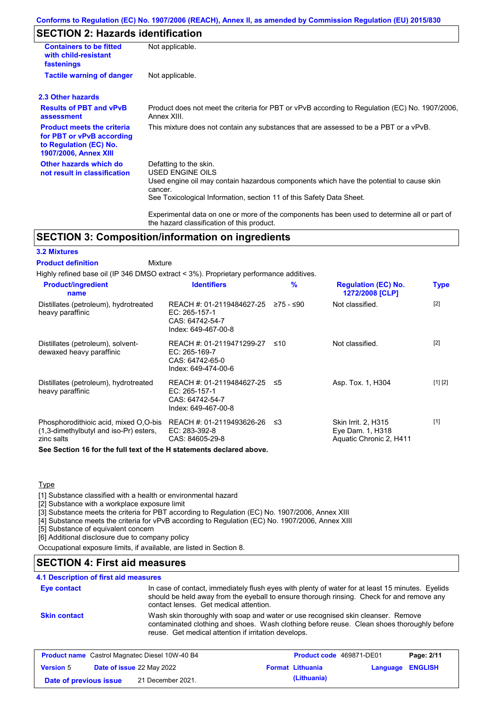### **Conforms to Regulation (EC) No. 1907/2006 (REACH), Annex II, as amended by Commission Regulation (EU) 2015/830**

# **SECTION 2: Hazards identification**

| <b>Containers to be fitted</b><br>with child-resistant<br>fastenings                                                     | Not applicable.                                                                                                                                                                                                                 |  |  |  |
|--------------------------------------------------------------------------------------------------------------------------|---------------------------------------------------------------------------------------------------------------------------------------------------------------------------------------------------------------------------------|--|--|--|
| <b>Tactile warning of danger</b>                                                                                         | Not applicable.                                                                                                                                                                                                                 |  |  |  |
| 2.3 Other hazards                                                                                                        |                                                                                                                                                                                                                                 |  |  |  |
| <b>Results of PBT and vPvB</b><br>assessment                                                                             | Product does not meet the criteria for PBT or vPvB according to Regulation (EC) No. 1907/2006,<br>Annex XIII.                                                                                                                   |  |  |  |
| <b>Product meets the criteria</b><br>for PBT or vPvB according<br>to Regulation (EC) No.<br><b>1907/2006, Annex XIII</b> | This mixture does not contain any substances that are assessed to be a PBT or a vPvB.                                                                                                                                           |  |  |  |
| Other hazards which do<br>not result in classification                                                                   | Defatting to the skin.<br><b>USED ENGINE OILS</b><br>Used engine oil may contain hazardous components which have the potential to cause skin<br>cancer.<br>See Toxicological Information, section 11 of this Safety Data Sheet. |  |  |  |
|                                                                                                                          | Experimental data on one or more of the components has been used to determine all or part of<br>the hazard classification of this product.                                                                                      |  |  |  |

## **SECTION 3: Composition/information on ingredients**

### **3.2 Mixtures**

Mixture **Product definition**

Highly refined base oil (IP 346 DMSO extract < 3%). Proprietary performance additives.

| <b>Identifiers</b>                                                                     | $\frac{9}{6}$             | <b>Regulation (EC) No.</b><br>1272/2008 [CLP]                             | <b>Type</b>                                                                                           |
|----------------------------------------------------------------------------------------|---------------------------|---------------------------------------------------------------------------|-------------------------------------------------------------------------------------------------------|
| EC: 265-157-1<br>CAS: 64742-54-7<br>Index: 649-467-00-8                                | ≥75 - ≤90                 | Not classified.                                                           | $[2]$                                                                                                 |
| REACH #: 01-2119471299-27<br>$EC: 265-169-7$<br>CAS: 64742-65-0<br>Index: 649-474-00-6 | ≤10                       | Not classified.                                                           | $[2]$                                                                                                 |
| EC: 265-157-1<br>CAS: 64742-54-7<br>Index: 649-467-00-8                                |                           | Asp. Tox. 1, H304                                                         | [1] [2]                                                                                               |
| REACH #: 01-2119493626-26<br>EC: 283-392-8<br>CAS: 84605-29-8                          | ב≥                        | <b>Skin Irrit. 2, H315</b><br>Eye Dam. 1, H318<br>Aquatic Chronic 2, H411 | $[1]$                                                                                                 |
|                                                                                        | REACH #: 01-2119484627-25 | REACH #: 01-2119484627-25 ≤5                                              | A com A contrare d'A de contrare della contradata della catalana contrare della catalana della contra |

**See Section 16 for the full text of the H statements declared above.**

### **Type**

[1] Substance classified with a health or environmental hazard

[2] Substance with a workplace exposure limit

[3] Substance meets the criteria for PBT according to Regulation (EC) No. 1907/2006, Annex XIII

[4] Substance meets the criteria for vPvB according to Regulation (EC) No. 1907/2006, Annex XIII

[5] Substance of equivalent concern

[6] Additional disclosure due to company policy

Occupational exposure limits, if available, are listed in Section 8.

## **SECTION 4: First aid measures**

### **4.1 Description of first aid measures**

| <b>Eye contact</b>  | In case of contact, immediately flush eyes with plenty of water for at least 15 minutes. Eyelids<br>should be held away from the eyeball to ensure thorough rinsing. Check for and remove any<br>contact lenses. Get medical attention. |
|---------------------|-----------------------------------------------------------------------------------------------------------------------------------------------------------------------------------------------------------------------------------------|
| <b>Skin contact</b> | Wash skin thoroughly with soap and water or use recognised skin cleanser. Remove<br>contaminated clothing and shoes. Wash clothing before reuse. Clean shoes thoroughly before<br>reuse. Get medical attention if irritation develops.  |

|                        | <b>Product name</b> Castrol Magnatec Diesel 10W-40 B4 | <b>Product code</b> 469871-DE01 |                         | Page: 2/11 |
|------------------------|-------------------------------------------------------|---------------------------------|-------------------------|------------|
| <b>Version</b> 5       | <b>Date of issue 22 May 2022</b>                      | <b>Format Lithuania</b>         | <b>Language ENGLISH</b> |            |
| Date of previous issue | 21 December 2021.                                     | (Lithuania)                     |                         |            |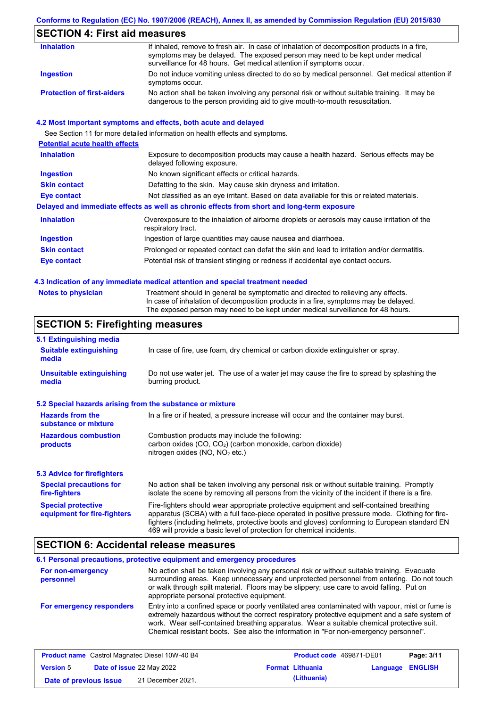## **Conforms to Regulation (EC) No. 1907/2006 (REACH), Annex II, as amended by Commission Regulation (EU) 2015/830**

# **SECTION 4: First aid measures**

| <b>Inhalation</b>                 | If inhaled, remove to fresh air. In case of inhalation of decomposition products in a fire,<br>symptoms may be delayed. The exposed person may need to be kept under medical<br>surveillance for 48 hours. Get medical attention if symptoms occur. |
|-----------------------------------|-----------------------------------------------------------------------------------------------------------------------------------------------------------------------------------------------------------------------------------------------------|
| Ingestion                         | Do not induce vomiting unless directed to do so by medical personnel. Get medical attention if<br>symptoms occur.                                                                                                                                   |
| <b>Protection of first-aiders</b> | No action shall be taken involving any personal risk or without suitable training. It may be<br>dangerous to the person providing aid to give mouth-to-mouth resuscitation.                                                                         |

### **4.2 Most important symptoms and effects, both acute and delayed**

See Section 11 for more detailed information on health effects and symptoms.

| <b>Potential acute health effects</b> |                                                                                                                     |
|---------------------------------------|---------------------------------------------------------------------------------------------------------------------|
| <b>Inhalation</b>                     | Exposure to decomposition products may cause a health hazard. Serious effects may be<br>delayed following exposure. |
| <b>Ingestion</b>                      | No known significant effects or critical hazards.                                                                   |
| <b>Skin contact</b>                   | Defatting to the skin. May cause skin dryness and irritation.                                                       |
| <b>Eye contact</b>                    | Not classified as an eye irritant. Based on data available for this or related materials.                           |
|                                       | Delayed and immediate effects as well as chronic effects from short and long-term exposure                          |
| <b>Inhalation</b>                     | Overexposure to the inhalation of airborne droplets or aerosols may cause irritation of the<br>respiratory tract.   |
| <b>Ingestion</b>                      | Ingestion of large quantities may cause nausea and diarrhoea.                                                       |
| <b>Skin contact</b>                   | Prolonged or repeated contact can defat the skin and lead to irritation and/or dermatitis.                          |
| Eye contact                           | Potential risk of transient stinging or redness if accidental eye contact occurs.                                   |
|                                       |                                                                                                                     |

### **4.3 Indication of any immediate medical attention and special treatment needed**

| <b>Notes to physician</b> | Treatment should in general be symptomatic and directed to relieving any effects.   |
|---------------------------|-------------------------------------------------------------------------------------|
|                           | In case of inhalation of decomposition products in a fire, symptoms may be delayed. |
|                           | The exposed person may need to be kept under medical surveillance for 48 hours.     |

# **SECTION 5: Firefighting measures**

| 5.1 Extinguishing media                                                                                                                                                                                                                                                                                                                                                                                                       |                                                                                                                                                                                                |  |  |
|-------------------------------------------------------------------------------------------------------------------------------------------------------------------------------------------------------------------------------------------------------------------------------------------------------------------------------------------------------------------------------------------------------------------------------|------------------------------------------------------------------------------------------------------------------------------------------------------------------------------------------------|--|--|
| <b>Suitable extinguishing</b><br>In case of fire, use foam, dry chemical or carbon dioxide extinguisher or spray.<br>media                                                                                                                                                                                                                                                                                                    |                                                                                                                                                                                                |  |  |
| <b>Unsuitable extinguishing</b><br>media                                                                                                                                                                                                                                                                                                                                                                                      | Do not use water jet. The use of a water jet may cause the fire to spread by splashing the<br>burning product.                                                                                 |  |  |
| 5.2 Special hazards arising from the substance or mixture                                                                                                                                                                                                                                                                                                                                                                     |                                                                                                                                                                                                |  |  |
| <b>Hazards from the</b><br>substance or mixture                                                                                                                                                                                                                                                                                                                                                                               | In a fire or if heated, a pressure increase will occur and the container may burst.                                                                                                            |  |  |
| <b>Hazardous combustion</b><br>products                                                                                                                                                                                                                                                                                                                                                                                       | Combustion products may include the following:<br>carbon oxides (CO, CO <sub>2</sub> ) (carbon monoxide, carbon dioxide)<br>nitrogen oxides (NO, NO <sub>2</sub> etc.)                         |  |  |
| 5.3 Advice for firefighters                                                                                                                                                                                                                                                                                                                                                                                                   |                                                                                                                                                                                                |  |  |
| <b>Special precautions for</b><br>fire-fighters                                                                                                                                                                                                                                                                                                                                                                               | No action shall be taken involving any personal risk or without suitable training. Promptly<br>isolate the scene by removing all persons from the vicinity of the incident if there is a fire. |  |  |
| Fire-fighters should wear appropriate protective equipment and self-contained breathing<br><b>Special protective</b><br>apparatus (SCBA) with a full face-piece operated in positive pressure mode. Clothing for fire-<br>equipment for fire-fighters<br>fighters (including helmets, protective boots and gloves) conforming to European standard EN<br>469 will provide a basic level of protection for chemical incidents. |                                                                                                                                                                                                |  |  |

## **SECTION 6: Accidental release measures**

|                                | 6.1 Personal precautions, protective equipment and emergency procedures                                                                                                                                                                                                                                                                                                              |
|--------------------------------|--------------------------------------------------------------------------------------------------------------------------------------------------------------------------------------------------------------------------------------------------------------------------------------------------------------------------------------------------------------------------------------|
| For non-emergency<br>personnel | No action shall be taken involving any personal risk or without suitable training. Evacuate<br>surrounding areas. Keep unnecessary and unprotected personnel from entering. Do not touch<br>or walk through spilt material. Floors may be slippery; use care to avoid falling. Put on<br>appropriate personal protective equipment.                                                  |
| For emergency responders       | Entry into a confined space or poorly ventilated area contaminated with vapour, mist or fume is<br>extremely hazardous without the correct respiratory protective equipment and a safe system of<br>work. Wear self-contained breathing apparatus. Wear a suitable chemical protective suit.<br>Chemical resistant boots. See also the information in "For non-emergency personnel". |

|                        | <b>Product name</b> Castrol Magnatec Diesel 10W-40 B4 | Product code 469871-DE01 |                         | Page: 3/11 |
|------------------------|-------------------------------------------------------|--------------------------|-------------------------|------------|
| <b>Version 5</b>       | <b>Date of issue 22 May 2022</b>                      | <b>Format Lithuania</b>  | <b>Language ENGLISH</b> |            |
| Date of previous issue | 21 December 2021.                                     | (Lithuania)              |                         |            |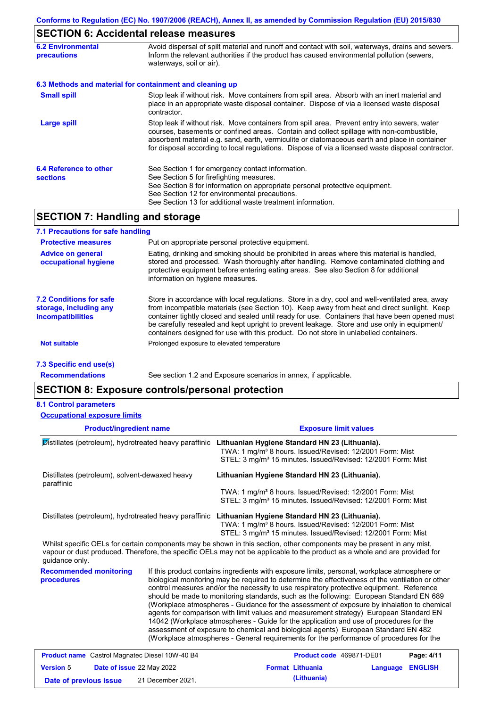# **SECTION 6: Accidental release measures**

| <b>6.2 Environmental</b><br><b>precautions</b> | Avoid dispersal of spilt material and runoff and contact with soil, waterways, drains and sewers.<br>Inform the relevant authorities if the product has caused environmental pollution (sewers,<br>waterways, soil or air).                                                                                                                                                                    |  |  |  |
|------------------------------------------------|------------------------------------------------------------------------------------------------------------------------------------------------------------------------------------------------------------------------------------------------------------------------------------------------------------------------------------------------------------------------------------------------|--|--|--|
|                                                | 6.3 Methods and material for containment and cleaning up                                                                                                                                                                                                                                                                                                                                       |  |  |  |
| <b>Small spill</b>                             | Stop leak if without risk. Move containers from spill area. Absorb with an inert material and<br>place in an appropriate waste disposal container. Dispose of via a licensed waste disposal<br>contractor.                                                                                                                                                                                     |  |  |  |
| <b>Large spill</b>                             | Stop leak if without risk. Move containers from spill area. Prevent entry into sewers, water<br>courses, basements or confined areas. Contain and collect spillage with non-combustible,<br>absorbent material e.g. sand, earth, vermiculite or diatomaceous earth and place in container<br>for disposal according to local regulations. Dispose of via a licensed waste disposal contractor. |  |  |  |
| 6.4 Reference to other<br><b>sections</b>      | See Section 1 for emergency contact information.<br>See Section 5 for firefighting measures.<br>See Section 8 for information on appropriate personal protective equipment.<br>See Section 12 for environmental precautions.<br>See Section 13 for additional waste treatment information.                                                                                                     |  |  |  |

# **SECTION 7: Handling and storage**

| 7.1 Precautions for safe handling                                                    |                                                                                                                                                                                                                                                                                                                                                                                                                                                                                          |
|--------------------------------------------------------------------------------------|------------------------------------------------------------------------------------------------------------------------------------------------------------------------------------------------------------------------------------------------------------------------------------------------------------------------------------------------------------------------------------------------------------------------------------------------------------------------------------------|
| <b>Protective measures</b>                                                           | Put on appropriate personal protective equipment.                                                                                                                                                                                                                                                                                                                                                                                                                                        |
| <b>Advice on general</b><br>occupational hygiene                                     | Eating, drinking and smoking should be prohibited in areas where this material is handled,<br>stored and processed. Wash thoroughly after handling. Remove contaminated clothing and<br>protective equipment before entering eating areas. See also Section 8 for additional<br>information on hygiene measures.                                                                                                                                                                         |
| <b>7.2 Conditions for safe</b><br>storage, including any<br><i>incompatibilities</i> | Store in accordance with local requlations. Store in a dry, cool and well-ventilated area, away<br>from incompatible materials (see Section 10). Keep away from heat and direct sunlight. Keep<br>container tightly closed and sealed until ready for use. Containers that have been opened must<br>be carefully resealed and kept upright to prevent leakage. Store and use only in equipment/<br>containers designed for use with this product. Do not store in unlabelled containers. |
| Not suitable                                                                         | Prolonged exposure to elevated temperature                                                                                                                                                                                                                                                                                                                                                                                                                                               |
| 7.3 Specific end use(s)                                                              |                                                                                                                                                                                                                                                                                                                                                                                                                                                                                          |

**Recommendations**

See section 1.2 and Exposure scenarios in annex, if applicable.

## **SECTION 8: Exposure controls/personal protection**

### **8.1 Control parameters**

**Occupational exposure limits**

| <b>Product/ingredient name</b>                                                                                                                                                                                                                                         |                           |                                                                                                                                                                                                                                                                                                                                                                                                                                                                                                                                                                                                                                                                                                                                                                                                                                                            | <b>Exposure limit values</b> |          |                |
|------------------------------------------------------------------------------------------------------------------------------------------------------------------------------------------------------------------------------------------------------------------------|---------------------------|------------------------------------------------------------------------------------------------------------------------------------------------------------------------------------------------------------------------------------------------------------------------------------------------------------------------------------------------------------------------------------------------------------------------------------------------------------------------------------------------------------------------------------------------------------------------------------------------------------------------------------------------------------------------------------------------------------------------------------------------------------------------------------------------------------------------------------------------------------|------------------------------|----------|----------------|
| Distillates (petroleum), hydrotreated heavy paraffinic                                                                                                                                                                                                                 |                           | Lithuanian Hygiene Standard HN 23 (Lithuania).<br>TWA: 1 mg/m <sup>3</sup> 8 hours. Issued/Revised: 12/2001 Form: Mist<br>STEL: 3 mg/m <sup>3</sup> 15 minutes. Issued/Revised: 12/2001 Form: Mist                                                                                                                                                                                                                                                                                                                                                                                                                                                                                                                                                                                                                                                         |                              |          |                |
| Distillates (petroleum), solvent-dewaxed heavy<br>paraffinic                                                                                                                                                                                                           |                           | Lithuanian Hygiene Standard HN 23 (Lithuania).<br>TWA: 1 mg/m <sup>3</sup> 8 hours. Issued/Revised: 12/2001 Form: Mist<br>STEL: 3 mg/m <sup>3</sup> 15 minutes. Issued/Revised: 12/2001 Form: Mist                                                                                                                                                                                                                                                                                                                                                                                                                                                                                                                                                                                                                                                         |                              |          |                |
| Distillates (petroleum), hydrotreated heavy paraffinic                                                                                                                                                                                                                 |                           | Lithuanian Hygiene Standard HN 23 (Lithuania).<br>TWA: 1 mg/m <sup>3</sup> 8 hours. Issued/Revised: 12/2001 Form: Mist<br>STEL: 3 mg/m <sup>3</sup> 15 minutes. Issued/Revised: 12/2001 Form: Mist                                                                                                                                                                                                                                                                                                                                                                                                                                                                                                                                                                                                                                                         |                              |          |                |
| Whilst specific OELs for certain components may be shown in this section, other components may be present in any mist,<br>vapour or dust produced. Therefore, the specific OELs may not be applicable to the product as a whole and are provided for<br>quidance only. |                           |                                                                                                                                                                                                                                                                                                                                                                                                                                                                                                                                                                                                                                                                                                                                                                                                                                                            |                              |          |                |
| <b>Recommended monitoring</b><br>procedures                                                                                                                                                                                                                            |                           | If this product contains ingredients with exposure limits, personal, workplace atmosphere or<br>biological monitoring may be required to determine the effectiveness of the ventilation or other<br>control measures and/or the necessity to use respiratory protective equipment. Reference<br>should be made to monitoring standards, such as the following: European Standard EN 689<br>(Workplace atmospheres - Guidance for the assessment of exposure by inhalation to chemical<br>agents for comparison with limit values and measurement strategy) European Standard EN<br>14042 (Workplace atmospheres - Guide for the application and use of procedures for the<br>assessment of exposure to chemical and biological agents) European Standard EN 482<br>(Workplace atmospheres - General requirements for the performance of procedures for the |                              |          |                |
| <b>Product name</b> Castrol Magnatec Diesel 10W-40 B4                                                                                                                                                                                                                  |                           |                                                                                                                                                                                                                                                                                                                                                                                                                                                                                                                                                                                                                                                                                                                                                                                                                                                            | Product code 469871-DE01     |          | Page: 4/11     |
| <b>Version 5</b>                                                                                                                                                                                                                                                       | Date of issue 22 May 2022 |                                                                                                                                                                                                                                                                                                                                                                                                                                                                                                                                                                                                                                                                                                                                                                                                                                                            | <b>Format Lithuania</b>      | Language | <b>ENGLISH</b> |
| Date of previous issue                                                                                                                                                                                                                                                 | 21 December 2021.         |                                                                                                                                                                                                                                                                                                                                                                                                                                                                                                                                                                                                                                                                                                                                                                                                                                                            | (Lithuania)                  |          |                |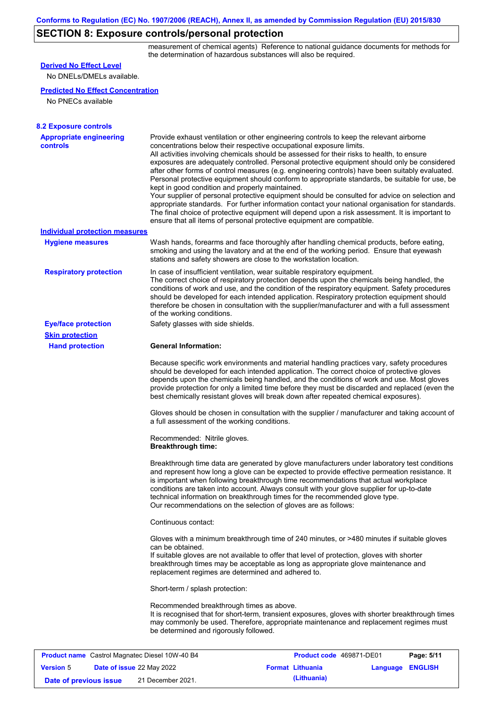# **SECTION 8: Exposure controls/personal protection**

measurement of chemical agents) Reference to national guidance documents for methods for the determination of hazardous substances will also be required.

| <b>Derived No Effect Level</b>                                 |                                                                                                                                                                                                                                                                                                                                                                                                                                                                                                                                                                                                                                                                                                                                                                                                                                                                                                                                                                                                         |
|----------------------------------------------------------------|---------------------------------------------------------------------------------------------------------------------------------------------------------------------------------------------------------------------------------------------------------------------------------------------------------------------------------------------------------------------------------------------------------------------------------------------------------------------------------------------------------------------------------------------------------------------------------------------------------------------------------------------------------------------------------------------------------------------------------------------------------------------------------------------------------------------------------------------------------------------------------------------------------------------------------------------------------------------------------------------------------|
| No DNELs/DMELs available.                                      |                                                                                                                                                                                                                                                                                                                                                                                                                                                                                                                                                                                                                                                                                                                                                                                                                                                                                                                                                                                                         |
| <b>Predicted No Effect Concentration</b><br>No PNECs available |                                                                                                                                                                                                                                                                                                                                                                                                                                                                                                                                                                                                                                                                                                                                                                                                                                                                                                                                                                                                         |
| <b>8.2 Exposure controls</b>                                   |                                                                                                                                                                                                                                                                                                                                                                                                                                                                                                                                                                                                                                                                                                                                                                                                                                                                                                                                                                                                         |
| <b>Appropriate engineering</b><br><b>controls</b>              | Provide exhaust ventilation or other engineering controls to keep the relevant airborne<br>concentrations below their respective occupational exposure limits.<br>All activities involving chemicals should be assessed for their risks to health, to ensure<br>exposures are adequately controlled. Personal protective equipment should only be considered<br>after other forms of control measures (e.g. engineering controls) have been suitably evaluated.<br>Personal protective equipment should conform to appropriate standards, be suitable for use, be<br>kept in good condition and properly maintained.<br>Your supplier of personal protective equipment should be consulted for advice on selection and<br>appropriate standards. For further information contact your national organisation for standards.<br>The final choice of protective equipment will depend upon a risk assessment. It is important to<br>ensure that all items of personal protective equipment are compatible. |
| Individual protection measures                                 |                                                                                                                                                                                                                                                                                                                                                                                                                                                                                                                                                                                                                                                                                                                                                                                                                                                                                                                                                                                                         |
| <b>Hygiene measures</b>                                        | Wash hands, forearms and face thoroughly after handling chemical products, before eating,<br>smoking and using the lavatory and at the end of the working period. Ensure that eyewash<br>stations and safety showers are close to the workstation location.                                                                                                                                                                                                                                                                                                                                                                                                                                                                                                                                                                                                                                                                                                                                             |
| <b>Respiratory protection</b>                                  | In case of insufficient ventilation, wear suitable respiratory equipment.<br>The correct choice of respiratory protection depends upon the chemicals being handled, the<br>conditions of work and use, and the condition of the respiratory equipment. Safety procedures<br>should be developed for each intended application. Respiratory protection equipment should<br>therefore be chosen in consultation with the supplier/manufacturer and with a full assessment<br>of the working conditions.                                                                                                                                                                                                                                                                                                                                                                                                                                                                                                   |
| <b>Eye/face protection</b>                                     | Safety glasses with side shields.                                                                                                                                                                                                                                                                                                                                                                                                                                                                                                                                                                                                                                                                                                                                                                                                                                                                                                                                                                       |
| <b>Skin protection</b>                                         |                                                                                                                                                                                                                                                                                                                                                                                                                                                                                                                                                                                                                                                                                                                                                                                                                                                                                                                                                                                                         |
| <b>Hand protection</b>                                         | <b>General Information:</b>                                                                                                                                                                                                                                                                                                                                                                                                                                                                                                                                                                                                                                                                                                                                                                                                                                                                                                                                                                             |
|                                                                | Because specific work environments and material handling practices vary, safety procedures<br>should be developed for each intended application. The correct choice of protective gloves<br>depends upon the chemicals being handled, and the conditions of work and use. Most gloves<br>provide protection for only a limited time before they must be discarded and replaced (even the<br>best chemically resistant gloves will break down after repeated chemical exposures).                                                                                                                                                                                                                                                                                                                                                                                                                                                                                                                        |
|                                                                | Gloves should be chosen in consultation with the supplier / manufacturer and taking account of<br>a full assessment of the working conditions.                                                                                                                                                                                                                                                                                                                                                                                                                                                                                                                                                                                                                                                                                                                                                                                                                                                          |
|                                                                | Recommended: Nitrile gloves.<br><b>Breakthrough time:</b>                                                                                                                                                                                                                                                                                                                                                                                                                                                                                                                                                                                                                                                                                                                                                                                                                                                                                                                                               |
|                                                                | Breakthrough time data are generated by glove manufacturers under laboratory test conditions<br>and represent how long a glove can be expected to provide effective permeation resistance. It<br>is important when following breakthrough time recommendations that actual workplace<br>conditions are taken into account. Always consult with your glove supplier for up-to-date<br>technical information on breakthrough times for the recommended glove type.<br>Our recommendations on the selection of gloves are as follows:                                                                                                                                                                                                                                                                                                                                                                                                                                                                      |
|                                                                | Continuous contact:                                                                                                                                                                                                                                                                                                                                                                                                                                                                                                                                                                                                                                                                                                                                                                                                                                                                                                                                                                                     |
|                                                                | Gloves with a minimum breakthrough time of 240 minutes, or >480 minutes if suitable gloves<br>can be obtained.<br>If suitable gloves are not available to offer that level of protection, gloves with shorter<br>breakthrough times may be acceptable as long as appropriate glove maintenance and<br>replacement regimes are determined and adhered to.                                                                                                                                                                                                                                                                                                                                                                                                                                                                                                                                                                                                                                                |
|                                                                | Short-term / splash protection:                                                                                                                                                                                                                                                                                                                                                                                                                                                                                                                                                                                                                                                                                                                                                                                                                                                                                                                                                                         |
|                                                                | Recommended breakthrough times as above.<br>It is recognised that for short-term, transient exposures, gloves with shorter breakthrough times<br>may commonly be used. Therefore, appropriate maintenance and replacement regimes must<br>be determined and rigorously followed.                                                                                                                                                                                                                                                                                                                                                                                                                                                                                                                                                                                                                                                                                                                        |
|                                                                |                                                                                                                                                                                                                                                                                                                                                                                                                                                                                                                                                                                                                                                                                                                                                                                                                                                                                                                                                                                                         |
| <b>Product name</b> Castrol Magnatec Diesel 10W-40 B4          | Product code 469871-DE01<br>Page: 5/11                                                                                                                                                                                                                                                                                                                                                                                                                                                                                                                                                                                                                                                                                                                                                                                                                                                                                                                                                                  |
| Data of issue 22 May 2022<br><b>Vareion</b> <sub>5</sub>       | <b>Language FNGLISH</b><br><b>Format Lithuania</b>                                                                                                                                                                                                                                                                                                                                                                                                                                                                                                                                                                                                                                                                                                                                                                                                                                                                                                                                                      |

**Sion** 5 **Date of issue** 22 May 2022 **Format Lithuania Englisher Language Date of previous issue (Lithuania)** 21 December 2021.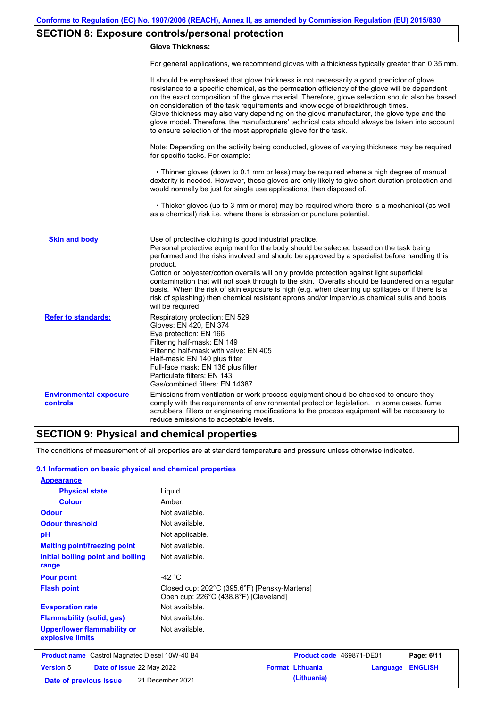# **SECTION 8: Exposure controls/personal protection**

### **Glove Thickness:**

For general applications, we recommend gloves with a thickness typically greater than 0.35 mm.

|                                           | It should be emphasised that glove thickness is not necessarily a good predictor of glove<br>resistance to a specific chemical, as the permeation efficiency of the glove will be dependent<br>on the exact composition of the glove material. Therefore, glove selection should also be based<br>on consideration of the task requirements and knowledge of breakthrough times.<br>Glove thickness may also vary depending on the glove manufacturer, the glove type and the<br>glove model. Therefore, the manufacturers' technical data should always be taken into account<br>to ensure selection of the most appropriate glove for the task.                                     |
|-------------------------------------------|---------------------------------------------------------------------------------------------------------------------------------------------------------------------------------------------------------------------------------------------------------------------------------------------------------------------------------------------------------------------------------------------------------------------------------------------------------------------------------------------------------------------------------------------------------------------------------------------------------------------------------------------------------------------------------------|
|                                           | Note: Depending on the activity being conducted, gloves of varying thickness may be required<br>for specific tasks. For example:                                                                                                                                                                                                                                                                                                                                                                                                                                                                                                                                                      |
|                                           | • Thinner gloves (down to 0.1 mm or less) may be required where a high degree of manual<br>dexterity is needed. However, these gloves are only likely to give short duration protection and<br>would normally be just for single use applications, then disposed of.                                                                                                                                                                                                                                                                                                                                                                                                                  |
|                                           | • Thicker gloves (up to 3 mm or more) may be required where there is a mechanical (as well<br>as a chemical) risk i.e. where there is abrasion or puncture potential.                                                                                                                                                                                                                                                                                                                                                                                                                                                                                                                 |
| <b>Skin and body</b>                      | Use of protective clothing is good industrial practice.<br>Personal protective equipment for the body should be selected based on the task being<br>performed and the risks involved and should be approved by a specialist before handling this<br>product.<br>Cotton or polyester/cotton overalls will only provide protection against light superficial<br>contamination that will not soak through to the skin. Overalls should be laundered on a regular<br>basis. When the risk of skin exposure is high (e.g. when cleaning up spillages or if there is a<br>risk of splashing) then chemical resistant aprons and/or impervious chemical suits and boots<br>will be required. |
| <b>Refer to standards:</b>                | Respiratory protection: EN 529<br>Gloves: EN 420, EN 374<br>Eye protection: EN 166<br>Filtering half-mask: EN 149<br>Filtering half-mask with valve: EN 405<br>Half-mask: EN 140 plus filter<br>Full-face mask: EN 136 plus filter<br>Particulate filters: EN 143<br>Gas/combined filters: EN 14387                                                                                                                                                                                                                                                                                                                                                                                   |
| <b>Environmental exposure</b><br>controls | Emissions from ventilation or work process equipment should be checked to ensure they<br>comply with the requirements of environmental protection legislation. In some cases, fume<br>scrubbers, filters or engineering modifications to the process equipment will be necessary to<br>reduce emissions to acceptable levels.                                                                                                                                                                                                                                                                                                                                                         |

# **SECTION 9: Physical and chemical properties**

The conditions of measurement of all properties are at standard temperature and pressure unless otherwise indicated.

### **9.1 Information on basic physical and chemical properties**

| <b>Appearance</b>                                      |                                                                                       |                          |                 |                |
|--------------------------------------------------------|---------------------------------------------------------------------------------------|--------------------------|-----------------|----------------|
| <b>Physical state</b>                                  | Liquid.                                                                               |                          |                 |                |
| <b>Colour</b>                                          | Amber.                                                                                |                          |                 |                |
| <b>Odour</b>                                           | Not available.                                                                        |                          |                 |                |
| <b>Odour threshold</b>                                 | Not available.                                                                        |                          |                 |                |
| pH                                                     | Not applicable.                                                                       |                          |                 |                |
| <b>Melting point/freezing point</b>                    | Not available.                                                                        |                          |                 |                |
| Initial boiling point and boiling<br>range             | Not available.                                                                        |                          |                 |                |
| <b>Pour point</b>                                      | -42 $^{\circ}$ C                                                                      |                          |                 |                |
| <b>Flash point</b>                                     | Closed cup: 202°C (395.6°F) [Pensky-Martens]<br>Open cup: 226°C (438.8°F) [Cleveland] |                          |                 |                |
| <b>Evaporation rate</b>                                | Not available.                                                                        |                          |                 |                |
| <b>Flammability (solid, gas)</b>                       | Not available.                                                                        |                          |                 |                |
| <b>Upper/lower flammability or</b><br>explosive limits | Not available.                                                                        |                          |                 |                |
| <b>Product name</b> Castrol Magnatec Diesel 10W-40 B4  |                                                                                       | Product code 469871-DE01 |                 | Page: 6/11     |
| <b>Version 5</b><br>Date of issue 22 May 2022          |                                                                                       | <b>Format Lithuania</b>  | <b>Language</b> | <b>ENGLISH</b> |
| Date of previous issue                                 | 21 December 2021.                                                                     | (Lithuania)              |                 |                |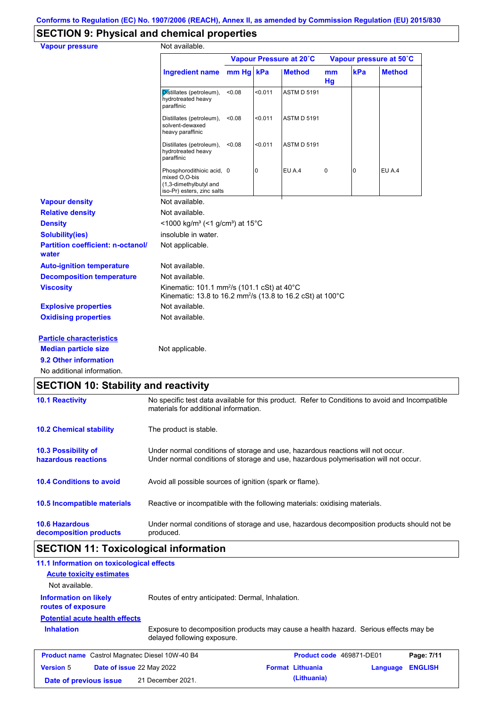# **SECTION 9: Physical and chemical properties**

| <b>Vapour pressure</b>                            | Not available.                                                                                                                    |        |         |                         |          |                |                         |
|---------------------------------------------------|-----------------------------------------------------------------------------------------------------------------------------------|--------|---------|-------------------------|----------|----------------|-------------------------|
|                                                   |                                                                                                                                   |        |         | Vapour Pressure at 20°C |          |                | Vapour pressure at 50°C |
|                                                   | Ingredient name mm Hg kPa                                                                                                         |        |         | <b>Method</b>           | mm<br>Hg | kPa            | <b>Method</b>           |
|                                                   | Distillates (petroleum),<br>hydrotreated heavy<br>paraffinic                                                                      | <0.08  | < 0.011 | <b>ASTM D 5191</b>      |          |                |                         |
|                                                   | Distillates (petroleum),<br>solvent-dewaxed<br>heavy paraffinic                                                                   | < 0.08 | < 0.011 | <b>ASTM D 5191</b>      |          |                |                         |
|                                                   | Distillates (petroleum),<br>hydrotreated heavy<br>paraffinic                                                                      | < 0.08 | < 0.011 | <b>ASTM D 5191</b>      |          |                |                         |
|                                                   | Phosphorodithioic acid, 0<br>mixed O,O-bis<br>(1,3-dimethylbutyl and<br>iso-Pr) esters, zinc salts                                |        | 0       | EU A.4                  | 0        | $\overline{0}$ | EU A.4                  |
| <b>Vapour density</b>                             | Not available.                                                                                                                    |        |         |                         |          |                |                         |
| <b>Relative density</b>                           | Not available.                                                                                                                    |        |         |                         |          |                |                         |
| <b>Density</b>                                    | <1000 kg/m <sup>3</sup> (<1 g/cm <sup>3</sup> ) at 15 <sup>°</sup> C                                                              |        |         |                         |          |                |                         |
| <b>Solubility(ies)</b>                            | insoluble in water.                                                                                                               |        |         |                         |          |                |                         |
| <b>Partition coefficient: n-octanol/</b><br>water | Not applicable.                                                                                                                   |        |         |                         |          |                |                         |
| <b>Auto-ignition temperature</b>                  | Not available.                                                                                                                    |        |         |                         |          |                |                         |
| <b>Decomposition temperature</b>                  | Not available.                                                                                                                    |        |         |                         |          |                |                         |
| <b>Viscosity</b>                                  | Kinematic: 101.1 mm <sup>2</sup> /s (101.1 cSt) at 40°C<br>Kinematic: 13.8 to 16.2 mm <sup>2</sup> /s (13.8 to 16.2 cSt) at 100°C |        |         |                         |          |                |                         |
| <b>Explosive properties</b>                       | Not available.                                                                                                                    |        |         |                         |          |                |                         |
| <b>Oxidising properties</b>                       | Not available.                                                                                                                    |        |         |                         |          |                |                         |
| <b>Particle characteristics</b>                   |                                                                                                                                   |        |         |                         |          |                |                         |
| <b>Median particle size</b>                       | Not applicable.                                                                                                                   |        |         |                         |          |                |                         |
| 9.2 Other information                             |                                                                                                                                   |        |         |                         |          |                |                         |
| No additional information.                        |                                                                                                                                   |        |         |                         |          |                |                         |

# **SECTION 10: Stability and reactivity**

| <b>10.1 Reactivity</b>                            | No specific test data available for this product. Refer to Conditions to avoid and Incompatible<br>materials for additional information.                                |
|---------------------------------------------------|-------------------------------------------------------------------------------------------------------------------------------------------------------------------------|
| <b>10.2 Chemical stability</b>                    | The product is stable.                                                                                                                                                  |
| <b>10.3 Possibility of</b><br>hazardous reactions | Under normal conditions of storage and use, hazardous reactions will not occur.<br>Under normal conditions of storage and use, hazardous polymerisation will not occur. |
| <b>10.4 Conditions to avoid</b>                   | Avoid all possible sources of ignition (spark or flame).                                                                                                                |
| <b>10.5 Incompatible materials</b>                | Reactive or incompatible with the following materials: oxidising materials.                                                                                             |
| <b>10.6 Hazardous</b><br>decomposition products   | Under normal conditions of storage and use, hazardous decomposition products should not be<br>produced.                                                                 |

# **SECTION 11: Toxicological information**

| 11.1 Information on toxicological effects             |                                                                                                                     |                          |          |                |
|-------------------------------------------------------|---------------------------------------------------------------------------------------------------------------------|--------------------------|----------|----------------|
| <b>Acute toxicity estimates</b>                       |                                                                                                                     |                          |          |                |
| Not available.                                        |                                                                                                                     |                          |          |                |
| <b>Information on likely</b><br>routes of exposure    | Routes of entry anticipated: Dermal, Inhalation.                                                                    |                          |          |                |
| <b>Potential acute health effects</b>                 |                                                                                                                     |                          |          |                |
| <b>Inhalation</b>                                     | Exposure to decomposition products may cause a health hazard. Serious effects may be<br>delayed following exposure. |                          |          |                |
| <b>Product name</b> Castrol Magnatec Diesel 10W-40 B4 |                                                                                                                     | Product code 469871-DE01 |          | Page: 7/11     |
| <b>Version 5</b>                                      | <b>Date of issue 22 May 2022</b>                                                                                    | <b>Format Lithuania</b>  | Language | <b>ENGLISH</b> |
| Date of previous issue                                | 21 December 2021.                                                                                                   | (Lithuania)              |          |                |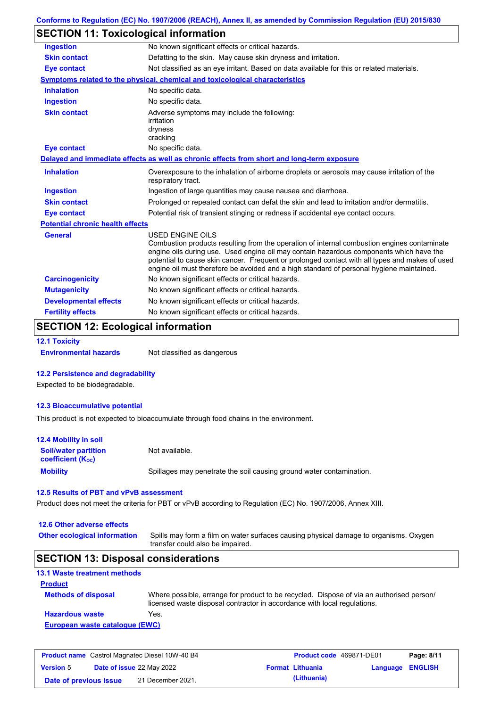| Conforms to Regulation (EC) No. 1907/2006 (REACH), Annex II, as amended by Commission Regulation (EU) 2015/830 |  |
|----------------------------------------------------------------------------------------------------------------|--|
|----------------------------------------------------------------------------------------------------------------|--|

# **SECTION 11: Toxicological information**

| <b>Ingestion</b>                        | No known significant effects or critical hazards.                                                                                                                                                                                                                                                                                                                                                               |  |  |  |
|-----------------------------------------|-----------------------------------------------------------------------------------------------------------------------------------------------------------------------------------------------------------------------------------------------------------------------------------------------------------------------------------------------------------------------------------------------------------------|--|--|--|
| <b>Skin contact</b>                     | Defatting to the skin. May cause skin dryness and irritation.                                                                                                                                                                                                                                                                                                                                                   |  |  |  |
| <b>Eye contact</b>                      | Not classified as an eye irritant. Based on data available for this or related materials.                                                                                                                                                                                                                                                                                                                       |  |  |  |
|                                         | <b>Symptoms related to the physical, chemical and toxicological characteristics</b>                                                                                                                                                                                                                                                                                                                             |  |  |  |
| <b>Inhalation</b>                       | No specific data.                                                                                                                                                                                                                                                                                                                                                                                               |  |  |  |
| <b>Ingestion</b>                        | No specific data.                                                                                                                                                                                                                                                                                                                                                                                               |  |  |  |
| <b>Skin contact</b>                     | Adverse symptoms may include the following:<br>irritation<br>dryness<br>cracking                                                                                                                                                                                                                                                                                                                                |  |  |  |
| <b>Eye contact</b>                      | No specific data.                                                                                                                                                                                                                                                                                                                                                                                               |  |  |  |
|                                         | Delayed and immediate effects as well as chronic effects from short and long-term exposure                                                                                                                                                                                                                                                                                                                      |  |  |  |
| <b>Inhalation</b>                       | Overexposure to the inhalation of airborne droplets or aerosols may cause irritation of the<br>respiratory tract.                                                                                                                                                                                                                                                                                               |  |  |  |
| <b>Ingestion</b>                        | Ingestion of large quantities may cause nausea and diarrhoea.                                                                                                                                                                                                                                                                                                                                                   |  |  |  |
| <b>Skin contact</b>                     | Prolonged or repeated contact can defat the skin and lead to irritation and/or dermatitis.                                                                                                                                                                                                                                                                                                                      |  |  |  |
| <b>Eye contact</b>                      | Potential risk of transient stinging or redness if accidental eye contact occurs.                                                                                                                                                                                                                                                                                                                               |  |  |  |
| <b>Potential chronic health effects</b> |                                                                                                                                                                                                                                                                                                                                                                                                                 |  |  |  |
| <b>General</b>                          | <b>USED ENGINE OILS</b><br>Combustion products resulting from the operation of internal combustion engines contaminate<br>engine oils during use. Used engine oil may contain hazardous components which have the<br>potential to cause skin cancer. Frequent or prolonged contact with all types and makes of used<br>engine oil must therefore be avoided and a high standard of personal hygiene maintained. |  |  |  |
| <b>Carcinogenicity</b>                  | No known significant effects or critical hazards.                                                                                                                                                                                                                                                                                                                                                               |  |  |  |
| <b>Mutagenicity</b>                     | No known significant effects or critical hazards.                                                                                                                                                                                                                                                                                                                                                               |  |  |  |
| <b>Developmental effects</b>            | No known significant effects or critical hazards.                                                                                                                                                                                                                                                                                                                                                               |  |  |  |
| <b>Fertility effects</b>                | No known significant effects or critical hazards.                                                                                                                                                                                                                                                                                                                                                               |  |  |  |

# **SECTION 12: Ecological information**

#### **12.1 Toxicity**

**Environmental hazards** Not classified as dangerous

#### **12.2 Persistence and degradability**

Expected to be biodegradable.

#### **12.3 Bioaccumulative potential**

This product is not expected to bioaccumulate through food chains in the environment.

| <b>12.4 Mobility in soil</b>                                  |                                                                      |
|---------------------------------------------------------------|----------------------------------------------------------------------|
| <b>Soil/water partition</b><br>coefficient (K <sub>oc</sub> ) | Not available.                                                       |
| <b>Mobility</b>                                               | Spillages may penetrate the soil causing ground water contamination. |

### **12.5 Results of PBT and vPvB assessment**

Product does not meet the criteria for PBT or vPvB according to Regulation (EC) No. 1907/2006, Annex XIII.

## **12.6 Other adverse effects**

Spills may form a film on water surfaces causing physical damage to organisms. Oxygen transfer could also be impaired. **Other ecological information**

## **SECTION 13: Disposal considerations**

## **13.1 Waste treatment methods Product**

| <b>Methods of disposal</b>     | Where possible, arrange for product to be recycled. Dispose of via an authorised person/<br>licensed waste disposal contractor in accordance with local regulations. |  |  |  |
|--------------------------------|----------------------------------------------------------------------------------------------------------------------------------------------------------------------|--|--|--|
| <b>Hazardous waste</b>         | Yes.                                                                                                                                                                 |  |  |  |
| European waste cataloque (EWC) |                                                                                                                                                                      |  |  |  |

| <b>Product name</b> Castrol Magnatec Diesel 10W-40 B4 |  |                                  | <b>Product code</b> 469871-DE01 |                         | Page: 8/11       |  |
|-------------------------------------------------------|--|----------------------------------|---------------------------------|-------------------------|------------------|--|
| <b>Version 5</b>                                      |  | <b>Date of issue 22 May 2022</b> |                                 | <b>Format Lithuania</b> | Language ENGLISH |  |
| Date of previous issue                                |  | 21 December 2021.                |                                 | (Lithuania)             |                  |  |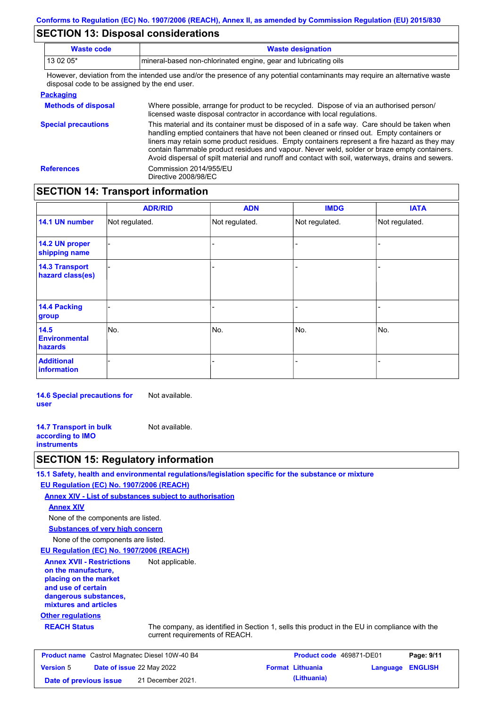# **SECTION 13: Disposal considerations**

| <b>Waste code</b>                                                                                                                                                                                  | <b>Waste designation</b>                                                                                                                                                                                                                                                                   |
|----------------------------------------------------------------------------------------------------------------------------------------------------------------------------------------------------|--------------------------------------------------------------------------------------------------------------------------------------------------------------------------------------------------------------------------------------------------------------------------------------------|
| 13 02 05*                                                                                                                                                                                          | mineral-based non-chlorinated engine, gear and lubricating oils                                                                                                                                                                                                                            |
| disposal code to be assigned by the end user.                                                                                                                                                      | However, deviation from the intended use and/or the presence of any potential contaminants may require an alternative waste                                                                                                                                                                |
| <b>Packaging</b>                                                                                                                                                                                   |                                                                                                                                                                                                                                                                                            |
| Where possible, arrange for product to be recycled. Dispose of via an authorised person/<br><b>Methods of disposal</b><br>licensed waste disposal contractor in accordance with local regulations. |                                                                                                                                                                                                                                                                                            |
| <b>Special precautions</b>                                                                                                                                                                         | This material and its container must be disposed of in a safe way. Care should be taken when<br>handling emptied containers that have not been cleaned or rinsed out. Empty containers or<br>liners may retain some product residues. Empty containers represent a fire hazard as they may |

contain flammable product residues and vapour. Never weld, solder or braze empty containers.

Avoid dispersal of spilt material and runoff and contact with soil, waterways, drains and sewers. **References** Commission 2014/955/EU Directive 2008/98/EC

## **SECTION 14: Transport information**

|                                           | <b>ADR/RID</b> | <b>ADN</b>     | <b>IMDG</b>    | <b>IATA</b>    |
|-------------------------------------------|----------------|----------------|----------------|----------------|
| 14.1 UN number                            | Not regulated. | Not regulated. | Not regulated. | Not regulated. |
| 14.2 UN proper<br>shipping name           |                |                | $\blacksquare$ |                |
| <b>14.3 Transport</b><br>hazard class(es) |                |                | -              |                |
| <b>14.4 Packing</b><br>group              |                |                | -              |                |
| 14.5<br><b>Environmental</b><br>hazards   | No.            | No.            | No.            | No.            |
| <b>Additional</b><br><b>information</b>   |                |                |                |                |

**14.6 Special precautions for user** Not available.

**14.7 Transport in bulk according to IMO instruments** Not available.

## **SECTION 15: Regulatory information**

**15.1 Safety, health and environmental regulations/legislation specific for the substance or mixture**

### **EU Regulation (EC) No. 1907/2006 (REACH)**

**Annex XIV - List of substances subject to authorisation**

### **Annex XIV**

None of the components are listed.

**Substances of very high concern**

None of the components are listed.

### **EU Regulation (EC) No. 1907/2006 (REACH)**

**Annex XVII - Restrictions on the manufacture, placing on the market and use of certain dangerous substances, mixtures and articles** Not applicable.

# **Other regulations**

**REACH Status** The company, as identified in Section 1, sells this product in the EU in compliance with the current requirements of REACH.

| <b>Product name</b> Castrol Magnatec Diesel 10W-40 B4 |  |                                  | <b>Product code</b> 469871-DE01 |                         | Page: 9/11       |  |
|-------------------------------------------------------|--|----------------------------------|---------------------------------|-------------------------|------------------|--|
| <b>Version 5</b>                                      |  | <b>Date of issue 22 May 2022</b> |                                 | <b>Format Lithuania</b> | Language ENGLISH |  |
| Date of previous issue                                |  | 21 December 2021.                |                                 | (Lithuania)             |                  |  |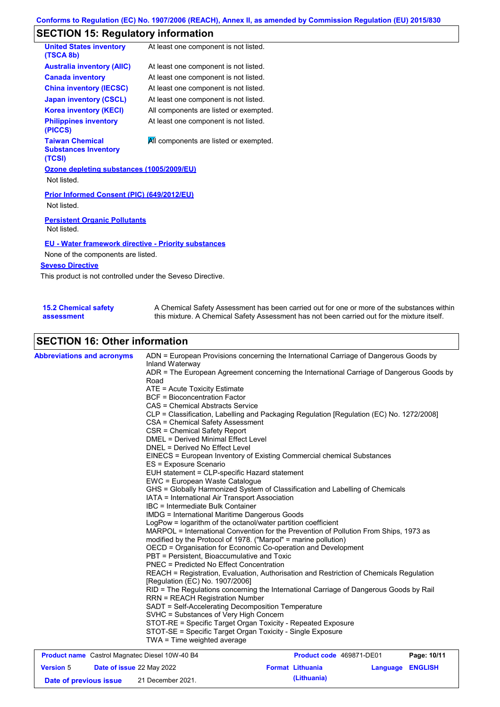# **SECTION 15: Regulatory information**

| <b>United States inventory</b><br>(TSCA 8b)                     | At least one component is not listed.  |  |  |  |
|-----------------------------------------------------------------|----------------------------------------|--|--|--|
| <b>Australia inventory (AIIC)</b>                               | At least one component is not listed.  |  |  |  |
| <b>Canada inventory</b>                                         | At least one component is not listed.  |  |  |  |
| <b>China inventory (IECSC)</b>                                  | At least one component is not listed.  |  |  |  |
| <b>Japan inventory (CSCL)</b>                                   | At least one component is not listed.  |  |  |  |
| <b>Korea inventory (KECI)</b>                                   | All components are listed or exempted. |  |  |  |
| <b>Philippines inventory</b><br>(PICCS)                         | At least one component is not listed.  |  |  |  |
| <b>Taiwan Chemical</b><br><b>Substances Inventory</b><br>(TCSI) | All components are listed or exempted. |  |  |  |
| Ozone depleting substances (1005/2009/EU)                       |                                        |  |  |  |
| Not listed.                                                     |                                        |  |  |  |
| Prior Informed Consent (PIC) (649/2012/EU)<br>Not listed.       |                                        |  |  |  |
| <b>Persistent Organic Pollutants</b><br>Not listed.             |                                        |  |  |  |
| <b>EU - Water framework directive - Priority substances</b>     |                                        |  |  |  |
| None of the components are listed.                              |                                        |  |  |  |
| <b>Seveso Directive</b>                                         |                                        |  |  |  |

This product is not controlled under the Seveso Directive.

| <b>15.2 Chemical safety</b> | A Chemical Safety Assessment has been carried out for one or more of the substances within  |
|-----------------------------|---------------------------------------------------------------------------------------------|
| assessment                  | this mixture. A Chemical Safety Assessment has not been carried out for the mixture itself. |

# **SECTION 16: Other information**

| <b>Abbreviations and acronyms</b> | ADN = European Provisions concerning the International Carriage of Dangerous Goods by<br>Inland Waterway<br>ADR = The European Agreement concerning the International Carriage of Dangerous Goods by<br>Road<br>ATE = Acute Toxicity Estimate<br><b>BCF</b> = Bioconcentration Factor<br>CAS = Chemical Abstracts Service<br>CLP = Classification, Labelling and Packaging Regulation [Regulation (EC) No. 1272/2008]<br>CSA = Chemical Safety Assessment<br>CSR = Chemical Safety Report<br><b>DMEL = Derived Minimal Effect Level</b><br>DNEL = Derived No Effect Level<br>EINECS = European Inventory of Existing Commercial chemical Substances<br>ES = Exposure Scenario<br>EUH statement = CLP-specific Hazard statement<br>EWC = European Waste Catalogue<br>GHS = Globally Harmonized System of Classification and Labelling of Chemicals<br>IATA = International Air Transport Association<br>IBC = Intermediate Bulk Container<br><b>IMDG</b> = International Maritime Dangerous Goods<br>LogPow = logarithm of the octanol/water partition coefficient<br>MARPOL = International Convention for the Prevention of Pollution From Ships, 1973 as<br>modified by the Protocol of 1978. ("Marpol" = marine pollution)<br>OECD = Organisation for Economic Co-operation and Development<br>PBT = Persistent, Bioaccumulative and Toxic<br><b>PNEC</b> = Predicted No Effect Concentration<br>REACH = Registration, Evaluation, Authorisation and Restriction of Chemicals Regulation<br>[Regulation (EC) No. 1907/2006]<br>RID = The Regulations concerning the International Carriage of Dangerous Goods by Rail<br><b>RRN = REACH Registration Number</b><br>SADT = Self-Accelerating Decomposition Temperature<br>SVHC = Substances of Very High Concern<br>STOT-RE = Specific Target Organ Toxicity - Repeated Exposure |
|-----------------------------------|------------------------------------------------------------------------------------------------------------------------------------------------------------------------------------------------------------------------------------------------------------------------------------------------------------------------------------------------------------------------------------------------------------------------------------------------------------------------------------------------------------------------------------------------------------------------------------------------------------------------------------------------------------------------------------------------------------------------------------------------------------------------------------------------------------------------------------------------------------------------------------------------------------------------------------------------------------------------------------------------------------------------------------------------------------------------------------------------------------------------------------------------------------------------------------------------------------------------------------------------------------------------------------------------------------------------------------------------------------------------------------------------------------------------------------------------------------------------------------------------------------------------------------------------------------------------------------------------------------------------------------------------------------------------------------------------------------------------------------------------------------------------------------------------------------------------------------|
|                                   | STOT-SE = Specific Target Organ Toxicity - Single Exposure<br>TWA = Time weighted average                                                                                                                                                                                                                                                                                                                                                                                                                                                                                                                                                                                                                                                                                                                                                                                                                                                                                                                                                                                                                                                                                                                                                                                                                                                                                                                                                                                                                                                                                                                                                                                                                                                                                                                                          |

| <b>Product name</b> Castrol Magnatec Diesel 10W-40 B4 |  |                                  | <b>Product code</b> 469871-DE01 |                         | Page: 10/11             |  |
|-------------------------------------------------------|--|----------------------------------|---------------------------------|-------------------------|-------------------------|--|
| <b>Version 5</b>                                      |  | <b>Date of issue 22 May 2022</b> |                                 | <b>Format Lithuania</b> | <b>Language ENGLISH</b> |  |
| Date of previous issue                                |  | 21 December 2021.                |                                 | (Lithuania)             |                         |  |